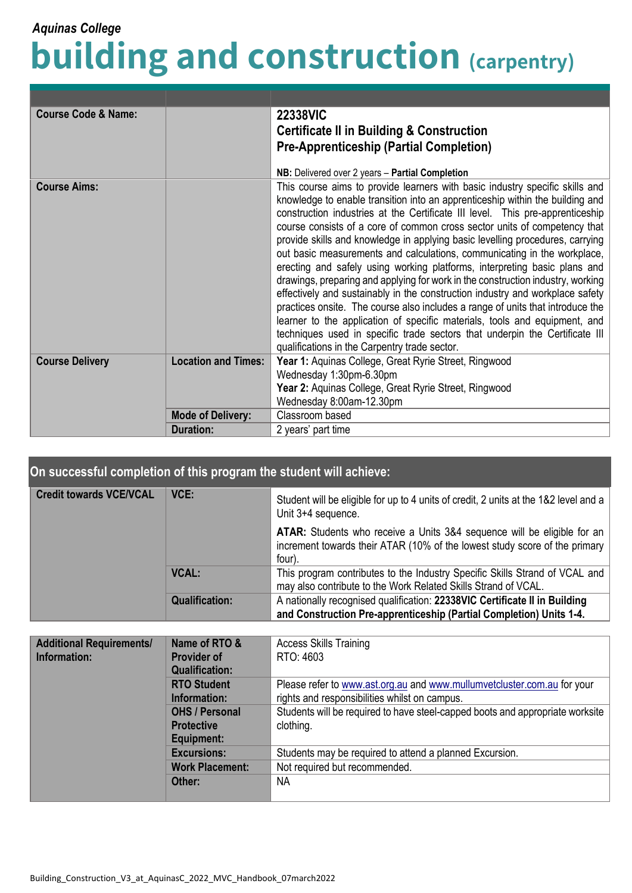## **building and construction (carpentry)** *Aquinas College*

| <b>Course Code &amp; Name:</b> |                            | <b>22338VIC</b><br><b>Certificate II in Building &amp; Construction</b><br><b>Pre-Apprenticeship (Partial Completion)</b><br>NB: Delivered over 2 years - Partial Completion                                                                                                                                                                                                                                                                                                                                                                                                                                                                                                                                                                                                                                                                                                                                                                                                                                                              |
|--------------------------------|----------------------------|-------------------------------------------------------------------------------------------------------------------------------------------------------------------------------------------------------------------------------------------------------------------------------------------------------------------------------------------------------------------------------------------------------------------------------------------------------------------------------------------------------------------------------------------------------------------------------------------------------------------------------------------------------------------------------------------------------------------------------------------------------------------------------------------------------------------------------------------------------------------------------------------------------------------------------------------------------------------------------------------------------------------------------------------|
| <b>Course Aims:</b>            |                            | This course aims to provide learners with basic industry specific skills and<br>knowledge to enable transition into an apprenticeship within the building and<br>construction industries at the Certificate III level. This pre-apprenticeship<br>course consists of a core of common cross sector units of competency that<br>provide skills and knowledge in applying basic levelling procedures, carrying<br>out basic measurements and calculations, communicating in the workplace,<br>erecting and safely using working platforms, interpreting basic plans and<br>drawings, preparing and applying for work in the construction industry, working<br>effectively and sustainably in the construction industry and workplace safety<br>practices onsite. The course also includes a range of units that introduce the<br>learner to the application of specific materials, tools and equipment, and<br>techniques used in specific trade sectors that underpin the Certificate III<br>qualifications in the Carpentry trade sector. |
| <b>Course Delivery</b>         | <b>Location and Times:</b> | Year 1: Aquinas College, Great Ryrie Street, Ringwood<br>Wednesday 1:30pm-6.30pm<br>Year 2: Aquinas College, Great Ryrie Street, Ringwood<br>Wednesday 8:00am-12.30pm                                                                                                                                                                                                                                                                                                                                                                                                                                                                                                                                                                                                                                                                                                                                                                                                                                                                     |
|                                | <b>Mode of Delivery:</b>   | Classroom based                                                                                                                                                                                                                                                                                                                                                                                                                                                                                                                                                                                                                                                                                                                                                                                                                                                                                                                                                                                                                           |
|                                | <b>Duration:</b>           | 2 years' part time                                                                                                                                                                                                                                                                                                                                                                                                                                                                                                                                                                                                                                                                                                                                                                                                                                                                                                                                                                                                                        |

| On successful completion of this program the student will achieve: |                       |                                                                                                                                                                        |  |  |
|--------------------------------------------------------------------|-----------------------|------------------------------------------------------------------------------------------------------------------------------------------------------------------------|--|--|
| <b>Credit towards VCE/VCAL</b>                                     | VCE:                  | Student will be eligible for up to 4 units of credit, 2 units at the 1&2 level and a<br>Unit 3+4 sequence.                                                             |  |  |
|                                                                    |                       | <b>ATAR:</b> Students who receive a Units 3&4 sequence will be eligible for an<br>increment towards their ATAR (10% of the lowest study score of the primary<br>four). |  |  |
|                                                                    | <b>VCAL:</b>          | This program contributes to the Industry Specific Skills Strand of VCAL and<br>may also contribute to the Work Related Skills Strand of VCAL.                          |  |  |
|                                                                    | <b>Qualification:</b> | A nationally recognised qualification: 22338VIC Certificate II in Building<br>and Construction Pre-apprenticeship (Partial Completion) Units 1-4.                      |  |  |

| <b>Additional Requirements/</b> | Name of RTO &          | <b>Access Skills Training</b>                                                 |
|---------------------------------|------------------------|-------------------------------------------------------------------------------|
| Information:                    | <b>Provider of</b>     | RTO: 4603                                                                     |
|                                 | <b>Qualification:</b>  |                                                                               |
|                                 | <b>RTO Student</b>     | Please refer to www.ast.org.au and www.mullumvetcluster.com.au for your       |
|                                 | Information:           | rights and responsibilities whilst on campus.                                 |
|                                 | <b>OHS / Personal</b>  | Students will be required to have steel-capped boots and appropriate worksite |
|                                 | <b>Protective</b>      | clothing.                                                                     |
|                                 | Equipment:             |                                                                               |
|                                 | <b>Excursions:</b>     | Students may be required to attend a planned Excursion.                       |
|                                 | <b>Work Placement:</b> | Not required but recommended.                                                 |
|                                 | Other:                 | NA                                                                            |
|                                 |                        |                                                                               |